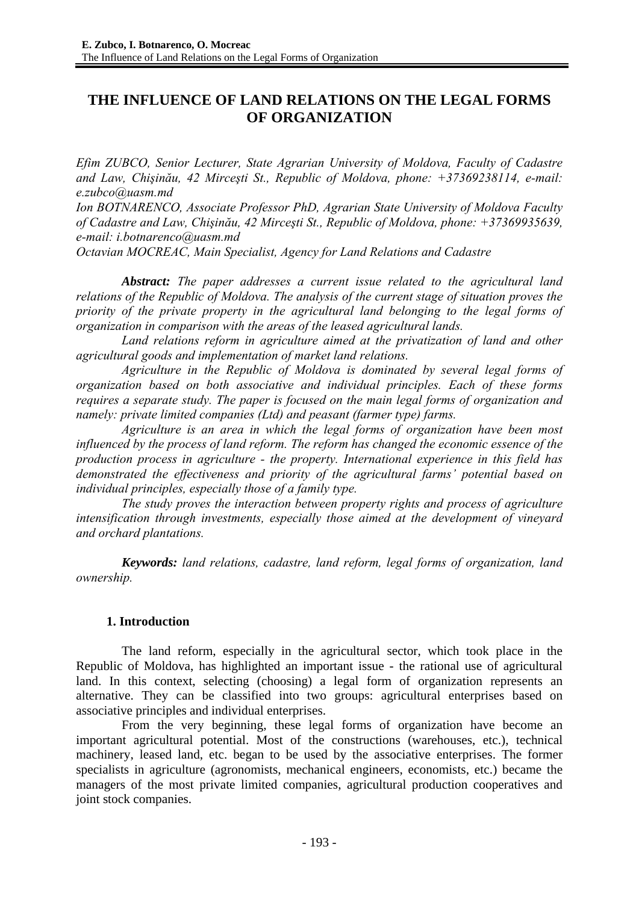# **THE INFLUENCE OF LAND RELATIONS ON THE LEGAL FORMS OF ORGANIZATION**

*Efim ZUBCO, Senior Lecturer, State Agrarian University of Moldova, Faculty of Cadastre and Law, Chişinău, 42 Mirceşti St., Republic of Moldova, phone: +37369238114, e-mail: e.zubco@uasm.md* 

*Ion BOTNARENCO, Associate Professor PhD, Agrarian State University of Moldova Faculty of Cadastre and Law, Chişinău, 42 Mirceşti St., Republic of Moldova, phone: +37369935639, e-mail: i.botnarenco@uasm.md* 

*Octavian MOCREAC, Main Specialist, Agency for Land Relations and Cadastre* 

*Abstract: The paper addresses a current issue related to the agricultural land relations of the Republic of Moldova. The analysis of the current stage of situation proves the priority of the private property in the agricultural land belonging to the legal forms of organization in comparison with the areas of the leased agricultural lands.* 

Land relations reform in agriculture aimed at the privatization of land and other *agricultural goods and implementation of market land relations.* 

*Agriculture in the Republic of Moldova is dominated by several legal forms of organization based on both associative and individual principles. Each of these forms requires a separate study. The paper is focused on the main legal forms of organization and namely: private limited companies (Ltd) and peasant (farmer type) farms.* 

*Agriculture is an area in which the legal forms of organization have been most influenced by the process of land reform. The reform has changed the economic essence of the production process in agriculture - the property. International experience in this field has demonstrated the effectiveness and priority of the agricultural farms' potential based on individual principles, especially those of a family type.* 

*The study proves the interaction between property rights and process of agriculture intensification through investments, especially those aimed at the development of vineyard and orchard plantations.* 

*Keywords: land relations, cadastre, land reform, legal forms of organization, land ownership.* 

# **1. Introduction**

The land reform, especially in the agricultural sector, which took place in the Republic of Moldova, has highlighted an important issue - the rational use of agricultural land. In this context, selecting (choosing) a legal form of organization represents an alternative. They can be classified into two groups: agricultural enterprises based on associative principles and individual enterprises.

From the very beginning, these legal forms of organization have become an important agricultural potential. Most of the constructions (warehouses, etc.), technical machinery, leased land, etc. began to be used by the associative enterprises. The former specialists in agriculture (agronomists, mechanical engineers, economists, etc.) became the managers of the most private limited companies, agricultural production cooperatives and joint stock companies.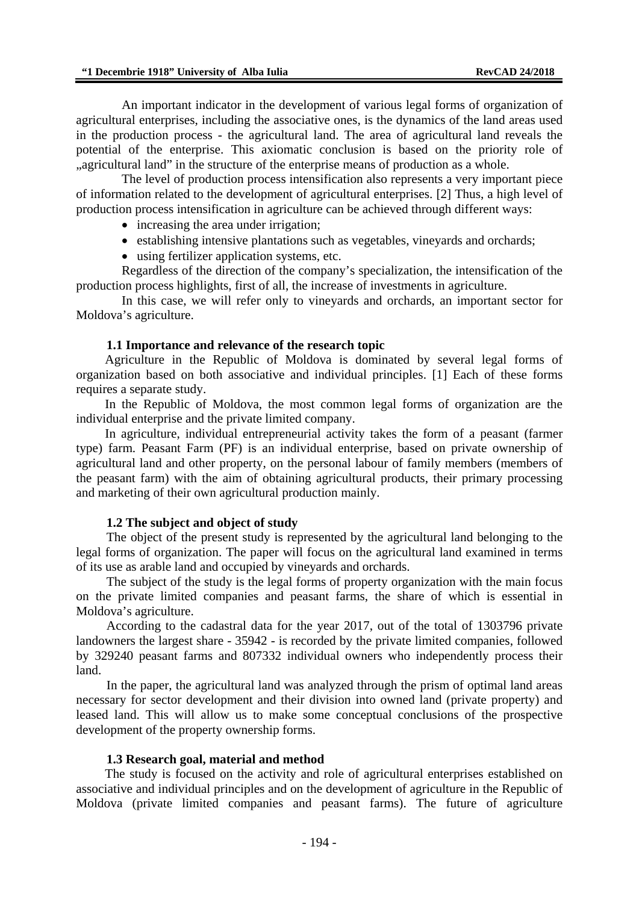An important indicator in the development of various legal forms of organization of agricultural enterprises, including the associative ones, is the dynamics of the land areas used in the production process - the agricultural land. The area of agricultural land reveals the potential of the enterprise. This axiomatic conclusion is based on the priority role of ..agricultural land" in the structure of the enterprise means of production as a whole.

The level of production process intensification also represents a very important piece of information related to the development of agricultural enterprises. [2] Thus, a high level of production process intensification in agriculture can be achieved through different ways:

- increasing the area under irrigation;
- establishing intensive plantations such as vegetables, vineyards and orchards;
- using fertilizer application systems, etc.

Regardless of the direction of the company's specialization, the intensification of the production process highlights, first of all, the increase of investments in agriculture.

In this case, we will refer only to vineyards and orchards, an important sector for Moldova's agriculture.

#### **1.1 Importance and relevance of the research topic**

Agriculture in the Republic of Moldova is dominated by several legal forms of organization based on both associative and individual principles. [1] Each of these forms requires a separate study.

In the Republic of Moldova, the most common legal forms of organization are the individual enterprise and the private limited company.

In agriculture, individual entrepreneurial activity takes the form of a peasant (farmer type) farm. Peasant Farm (PF) is an individual enterprise, based on private ownership of agricultural land and other property, on the personal labour of family members (members of the peasant farm) with the aim of obtaining agricultural products, their primary processing and marketing of their own agricultural production mainly.

### **1.2 The subject and object of study**

The object of the present study is represented by the agricultural land belonging to the legal forms of organization. The paper will focus on the agricultural land examined in terms of its use as arable land and occupied by vineyards and orchards.

The subject of the study is the legal forms of property organization with the main focus on the private limited companies and peasant farms, the share of which is essential in Moldova's agriculture.

According to the cadastral data for the year 2017, out of the total of 1303796 private landowners the largest share - 35942 - is recorded by the private limited companies, followed by 329240 peasant farms and 807332 individual owners who independently process their land.

In the paper, the agricultural land was analyzed through the prism of optimal land areas necessary for sector development and their division into owned land (private property) and leased land. This will allow us to make some conceptual conclusions of the prospective development of the property ownership forms.

#### **1.3 Research goal, material and method**

The study is focused on the activity and role of agricultural enterprises established on associative and individual principles and on the development of agriculture in the Republic of Moldova (private limited companies and peasant farms). The future of agriculture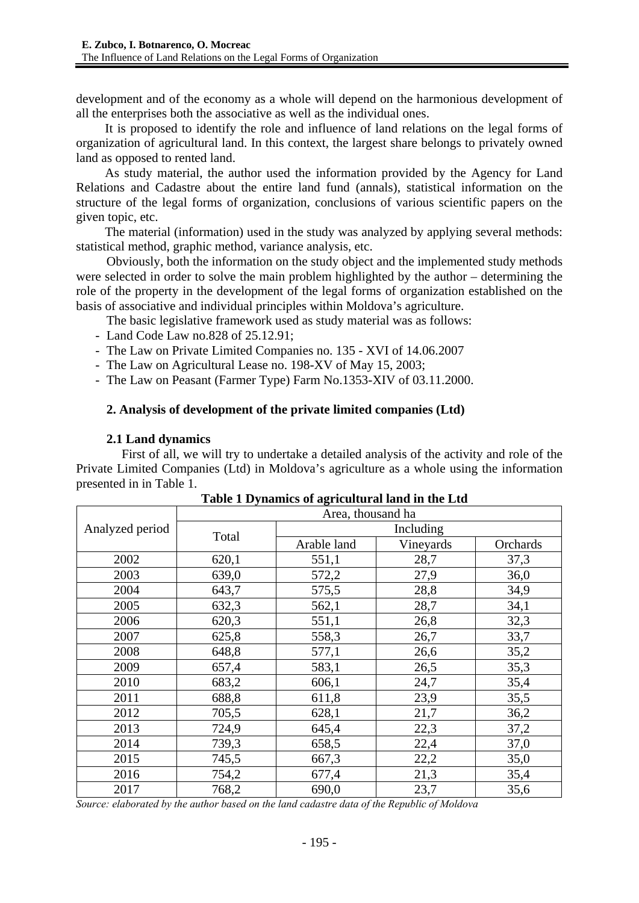development and of the economy as a whole will depend on the harmonious development of all the enterprises both the associative as well as the individual ones.

It is proposed to identify the role and influence of land relations on the legal forms of organization of agricultural land. In this context, the largest share belongs to privately owned land as opposed to rented land.

As study material, the author used the information provided by the Agency for Land Relations and Cadastre about the entire land fund (annals), statistical information on the structure of the legal forms of organization, conclusions of various scientific papers on the given topic, etc.

The material (information) used in the study was analyzed by applying several methods: statistical method, graphic method, variance analysis, etc.

Obviously, both the information on the study object and the implemented study methods were selected in order to solve the main problem highlighted by the author – determining the role of the property in the development of the legal forms of organization established on the basis of associative and individual principles within Moldova's agriculture.

The basic legislative framework used as study material was as follows:

- Land Code Law no.828 of 25.12.91;
- The Law on Private Limited Companies no. 135 XVI of 14.06.2007
- The Law on Agricultural Lease no. 198-XV of May 15, 2003;
- The Law on Peasant (Farmer Type) Farm No.1353-XIV of 03.11.2000.

## **2. Analysis of development of the private limited companies (Ltd)**

## **2.1 Land dynamics**

First of all, we will try to undertake a detailed analysis of the activity and role of the Private Limited Companies (Ltd) in Moldova's agriculture as a whole using the information presented in in Table 1.

|                 | Area, thousand ha |                          |      |          |  |  |
|-----------------|-------------------|--------------------------|------|----------|--|--|
| Analyzed period |                   | Including                |      |          |  |  |
|                 | Total             | Vineyards<br>Arable land |      | Orchards |  |  |
| 2002            | 620,1             | 551,1                    | 28,7 | 37,3     |  |  |
| 2003            | 639,0             | 572,2                    | 27,9 | 36,0     |  |  |
| 2004            | 643,7             | 575,5                    | 28,8 | 34,9     |  |  |
| 2005            | 632,3             | 562,1                    | 28,7 | 34,1     |  |  |
| 2006            | 620,3             | 551,1                    | 26,8 | 32,3     |  |  |
| 2007            | 625,8             | 558,3                    | 26,7 | 33,7     |  |  |
| 2008            | 648,8             | 577,1<br>26,6            |      | 35,2     |  |  |
| 2009            | 657,4             | 583,1                    | 26,5 | 35,3     |  |  |
| 2010            | 683,2             | 606,1                    | 24,7 | 35,4     |  |  |
| 2011            | 688,8             | 611,8                    | 23,9 | 35,5     |  |  |
| 2012            | 705,5             | 628,1                    | 21,7 | 36,2     |  |  |
| 2013            | 724,9             | 645,4                    | 22,3 | 37,2     |  |  |
| 2014            | 739,3             | 658,5                    | 22,4 | 37,0     |  |  |
| 2015            | 745,5             | 667,3                    | 22,2 | 35,0     |  |  |
| 2016            | 754,2             | 677,4                    | 21,3 | 35,4     |  |  |
| 2017            | 768,2             | 690,0                    | 23,7 | 35,6     |  |  |

|  |  | Table 1 Dynamics of agricultural land in the Ltd |  |
|--|--|--------------------------------------------------|--|
|  |  |                                                  |  |

*Source: elaborated by the author based on the land cadastre data of the Republic of Moldova*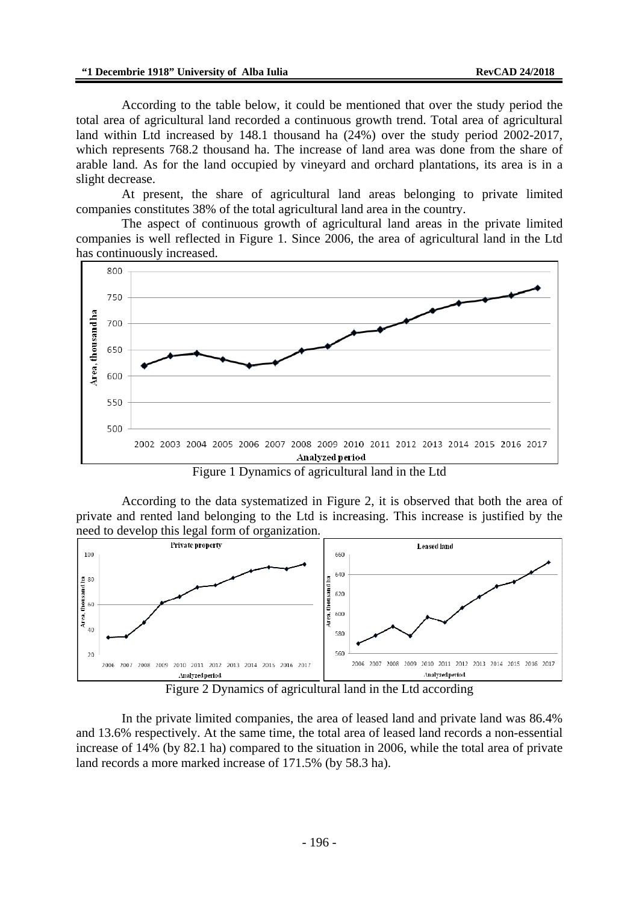According to the table below, it could be mentioned that over the study period the total area of agricultural land recorded a continuous growth trend. Total area of agricultural land within Ltd increased by 148.1 thousand ha (24%) over the study period 2002-2017, which represents 768.2 thousand ha. The increase of land area was done from the share of arable land. As for the land occupied by vineyard and orchard plantations, its area is in a slight decrease.

At present, the share of agricultural land areas belonging to private limited companies constitutes 38% of the total agricultural land area in the country.

The aspect of continuous growth of agricultural land areas in the private limited companies is well reflected in Figure 1. Since 2006, the area of agricultural land in the Ltd has continuously increased.



Figure 1 Dynamics of agricultural land in the Ltd

According to the data systematized in Figure 2, it is observed that both the area of private and rented land belonging to the Ltd is increasing. This increase is justified by the need to develop this legal form of organization.



Figure 2 Dynamics of agricultural land in the Ltd according

In the private limited companies, the area of leased land and private land was 86.4% and 13.6% respectively. At the same time, the total area of leased land records a non-essential increase of 14% (by 82.1 ha) compared to the situation in 2006, while the total area of private land records a more marked increase of 171.5% (by 58.3 ha).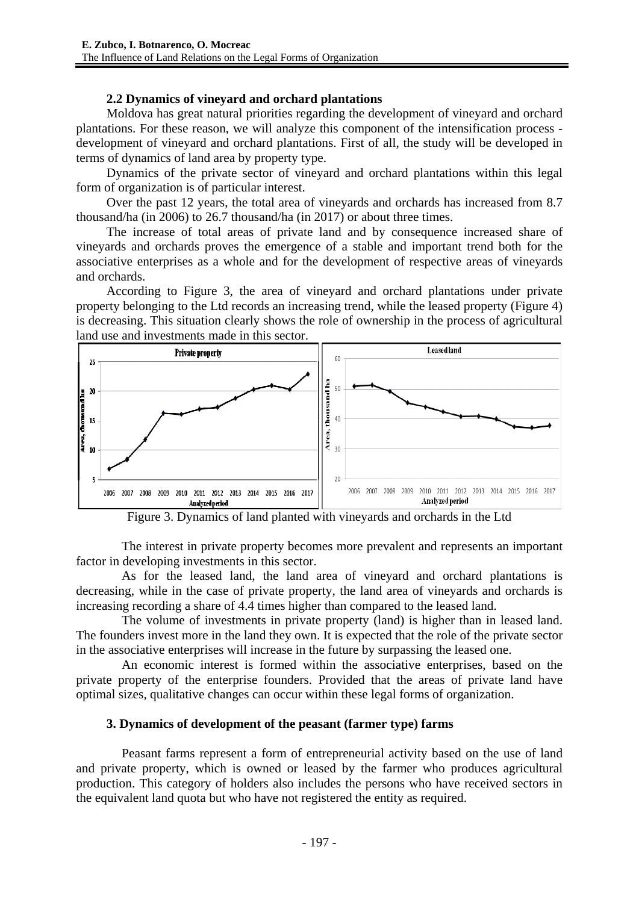# **2.2 Dynamics of vineyard and orchard plantations**

Moldova has great natural priorities regarding the development of vineyard and orchard plantations. For these reason, we will analyze this component of the intensification process development of vineyard and orchard plantations. First of all, the study will be developed in terms of dynamics of land area by property type.

Dynamics of the private sector of vineyard and orchard plantations within this legal form of organization is of particular interest.

Over the past 12 years, the total area of vineyards and orchards has increased from 8.7 thousand/ha (in 2006) to 26.7 thousand/ha (in 2017) or about three times.

The increase of total areas of private land and by consequence increased share of vineyards and orchards proves the emergence of a stable and important trend both for the associative enterprises as a whole and for the development of respective areas of vineyards and orchards.

According to Figure 3, the area of vineyard and orchard plantations under private property belonging to the Ltd records an increasing trend, while the leased property (Figure 4) is decreasing. This situation clearly shows the role of ownership in the process of agricultural land use and investments made in this sector.



Figure 3. Dynamics of land planted with vineyards and orchards in the Ltd

The interest in private property becomes more prevalent and represents an important factor in developing investments in this sector.

As for the leased land, the land area of vineyard and orchard plantations is decreasing, while in the case of private property, the land area of vineyards and orchards is increasing recording a share of 4.4 times higher than compared to the leased land.

The volume of investments in private property (land) is higher than in leased land. The founders invest more in the land they own. It is expected that the role of the private sector in the associative enterprises will increase in the future by surpassing the leased one.

An economic interest is formed within the associative enterprises, based on the private property of the enterprise founders. Provided that the areas of private land have optimal sizes, qualitative changes can occur within these legal forms of organization.

### **3. Dynamics of development of the peasant (farmer type) farms**

Peasant farms represent a form of entrepreneurial activity based on the use of land and private property, which is owned or leased by the farmer who produces agricultural production. This category of holders also includes the persons who have received sectors in the equivalent land quota but who have not registered the entity as required.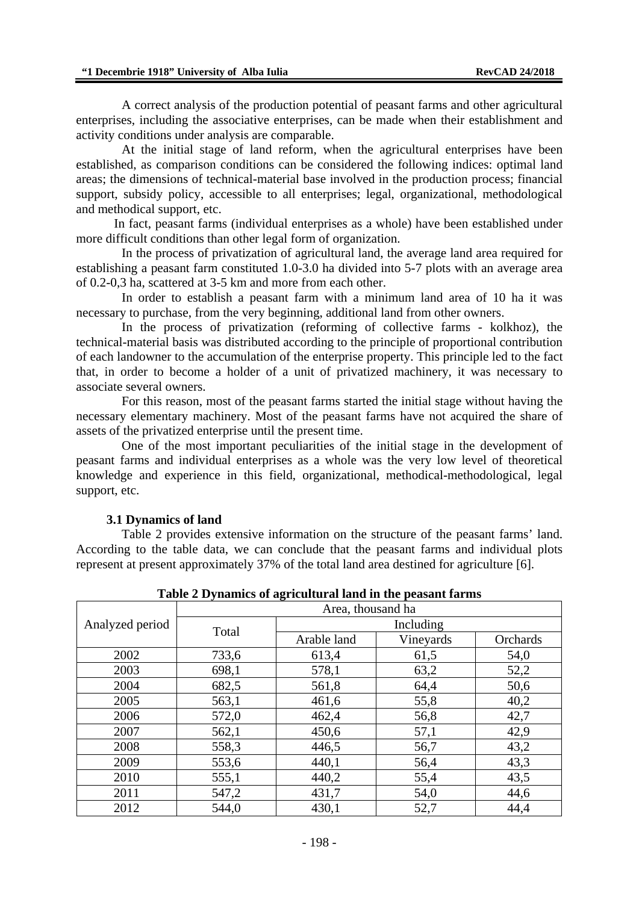A correct analysis of the production potential of peasant farms and other agricultural enterprises, including the associative enterprises, can be made when their establishment and activity conditions under analysis are comparable.

At the initial stage of land reform, when the agricultural enterprises have been established, as comparison conditions can be considered the following indices: optimal land areas; the dimensions of technical-material base involved in the production process; financial support, subsidy policy, accessible to all enterprises; legal, organizational, methodological and methodical support, etc.

In fact, peasant farms (individual enterprises as a whole) have been established under more difficult conditions than other legal form of organization.

In the process of privatization of agricultural land, the average land area required for establishing a peasant farm constituted 1.0-3.0 ha divided into 5-7 plots with an average area of 0.2-0,3 ha, scattered at 3-5 km and more from each other.

In order to establish a peasant farm with a minimum land area of 10 ha it was necessary to purchase, from the very beginning, additional land from other owners.

In the process of privatization (reforming of collective farms - kolkhoz), the technical-material basis was distributed according to the principle of proportional contribution of each landowner to the accumulation of the enterprise property. This principle led to the fact that, in order to become a holder of a unit of privatized machinery, it was necessary to associate several owners.

For this reason, most of the peasant farms started the initial stage without having the necessary elementary machinery. Most of the peasant farms have not acquired the share of assets of the privatized enterprise until the present time.

One of the most important peculiarities of the initial stage in the development of peasant farms and individual enterprises as a whole was the very low level of theoretical knowledge and experience in this field, organizational, methodical-methodological, legal support, etc.

#### **3.1 Dynamics of land**

Table 2 provides extensive information on the structure of the peasant farms' land. According to the table data, we can conclude that the peasant farms and individual plots represent at present approximately 37% of the total land area destined for agriculture [6].

| Table 2 Dynamics of agricultural land in the peasant farms |                   |             |           |          |  |  |
|------------------------------------------------------------|-------------------|-------------|-----------|----------|--|--|
|                                                            | Area, thousand ha |             |           |          |  |  |
| Analyzed period                                            | Total             | Including   |           |          |  |  |
|                                                            |                   | Arable land | Vineyards | Orchards |  |  |
| 2002                                                       | 733,6             | 613,4       | 61,5      | 54,0     |  |  |
| 2003                                                       | 698,1             | 578,1       | 63,2      | 52,2     |  |  |
| 2004                                                       | 682,5             | 561,8       | 64,4      | 50,6     |  |  |
| 2005                                                       | 563,1             | 461,6       | 55,8      | 40,2     |  |  |
| 2006                                                       | 572,0             | 462,4       | 56,8      | 42,7     |  |  |
| 2007                                                       | 562,1             | 450,6       | 57,1      | 42,9     |  |  |
| 2008                                                       | 558,3             | 446,5       | 56,7      | 43,2     |  |  |
| 2009                                                       | 553,6             | 440,1       | 56,4      | 43.3     |  |  |
| 2010                                                       | 555,1             | 440,2       | 55,4      | 43,5     |  |  |
| 2011                                                       | 547,2             | 431,7       | 54,0      | 44,6     |  |  |
| 2012                                                       | 544,0             | 430,1       | 52,7      | 44,4     |  |  |

**Table 2 Dynamics of agricultural land in the peasant farms**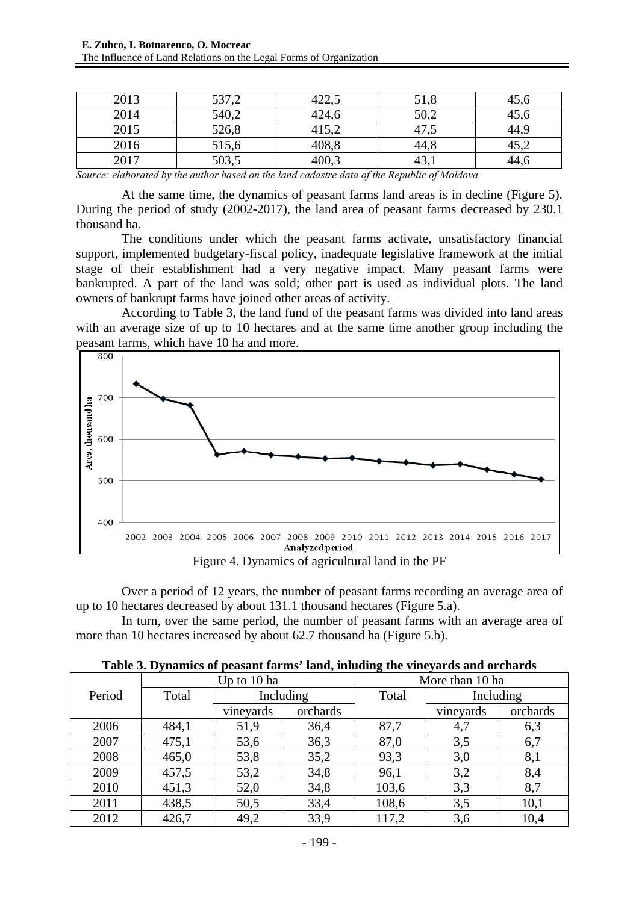| 2013 | 537,2 | $\gamma$<br>ل924+ | 51,8 | 45,6 |
|------|-------|-------------------|------|------|
| 2014 | 540,2 | 424,6             | 50,2 | 45,6 |
| 2015 | 526,8 | 415,2             | 47.J | 44,  |
| 2016 | 515,6 | 408,8             | 44.8 | +J.∠ |
| 2017 | 503,5 | 400.3             | 7J.I | 44.6 |

*Source: elaborated by the author based on the land cadastre data of the Republic of Moldova* 

At the same time, the dynamics of peasant farms land areas is in decline (Figure 5). During the period of study (2002-2017), the land area of peasant farms decreased by 230.1 thousand ha.

The conditions under which the peasant farms activate, unsatisfactory financial support, implemented budgetary-fiscal policy, inadequate legislative framework at the initial stage of their establishment had a very negative impact. Many peasant farms were bankrupted. A part of the land was sold; other part is used as individual plots. The land owners of bankrupt farms have joined other areas of activity.

According to Table 3, the land fund of the peasant farms was divided into land areas with an average size of up to 10 hectares and at the same time another group including the peasant farms, which have 10 ha and more.



Figure 4. Dynamics of agricultural land in the PF

Over a period of 12 years, the number of peasant farms recording an average area of up to 10 hectares decreased by about 131.1 thousand hectares (Figure 5.a).

In turn, over the same period, the number of peasant farms with an average area of more than 10 hectares increased by about 62.7 thousand ha (Figure 5.b).

|        | $\cdot$<br>Up to 10 ha |           |          | ັ<br>More than 10 ha |           |          |
|--------|------------------------|-----------|----------|----------------------|-----------|----------|
| Period | Total                  | Including |          | Total                | Including |          |
|        |                        | vineyards | orchards |                      | vineyards | orchards |
| 2006   | 484,1                  | 51,9      | 36,4     | 87,7                 | 4,7       | 6,3      |
| 2007   | 475,1                  | 53,6      | 36,3     | 87,0                 | 3,5       | 6,7      |
| 2008   | 465,0                  | 53,8      | 35,2     | 93,3                 | 3,0       | 8,1      |
| 2009   | 457,5                  | 53,2      | 34,8     | 96,1                 | 3,2       | 8,4      |
| 2010   | 451,3                  | 52,0      | 34,8     | 103,6                | 3,3       | 8,7      |
| 2011   | 438,5                  | 50,5      | 33,4     | 108,6                | 3,5       | 10,1     |
| 2012   | 426,7                  | 49,2      | 33,9     | 117,2                | 3,6       | 10,4     |

**Table 3. Dynamics of peasant farms' land, inluding the vineyards and orchards**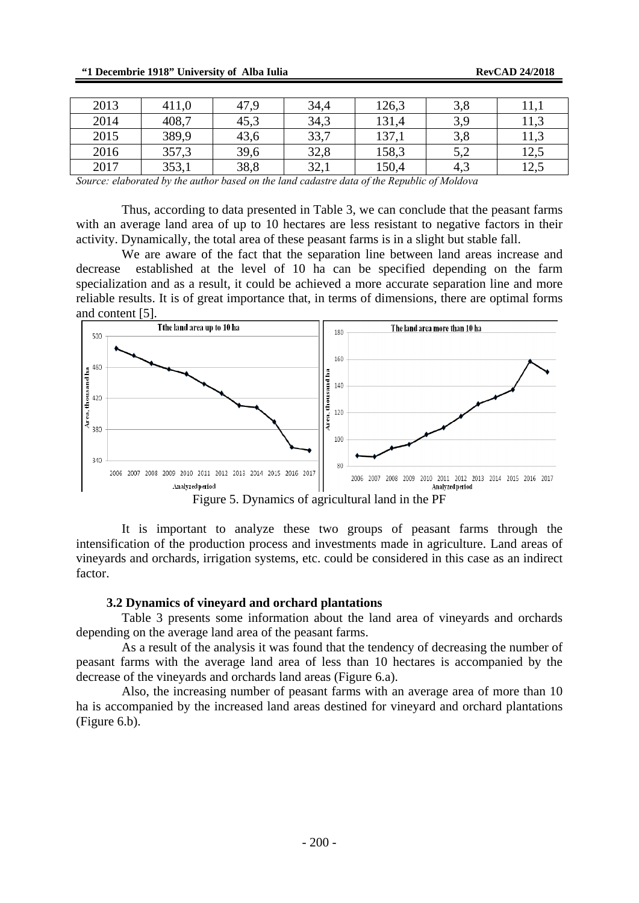| 2013 | 411,0 | 47,9 | 34,4 | 126,3 | 3,8    | .                       |
|------|-------|------|------|-------|--------|-------------------------|
| 2014 | 408,7 | 45,3 | 34,3 | 131,4 | 3,9    | 11 <sub>2</sub><br>11.J |
| 2015 | 389,9 | 43,6 | 33,7 | 137,1 | 3,8    | 11.J                    |
| 2016 | 357,3 | 39,6 | 32,8 | 158,3 | $\cup$ | $1 \cap 5$<br>⊥∠.J      |
| 2017 | 353,1 | 38,8 | 32,1 | 150,4 | 4,3    | 125<br>⊥∠,J             |

*Source: elaborated by the author based on the land cadastre data of the Republic of Moldova* 

Thus, according to data presented in Table 3, we can conclude that the peasant farms with an average land area of up to 10 hectares are less resistant to negative factors in their activity. Dynamically, the total area of these peasant farms is in a slight but stable fall.

We are aware of the fact that the separation line between land areas increase and decrease established at the level of 10 ha can be specified depending on the farm specialization and as a result, it could be achieved a more accurate separation line and more reliable results. It is of great importance that, in terms of dimensions, there are optimal forms and content  $[5]$ .<br>The land area up to 10 has



Figure 5. Dynamics of agricultural land in the PF

It is important to analyze these two groups of peasant farms through the intensification of the production process and investments made in agriculture. Land areas of vineyards and orchards, irrigation systems, etc. could be considered in this case as an indirect factor.

#### **3.2 Dynamics of vineyard and orchard plantations**

Table 3 presents some information about the land area of vineyards and orchards depending on the average land area of the peasant farms.

As a result of the analysis it was found that the tendency of decreasing the number of peasant farms with the average land area of less than 10 hectares is accompanied by the decrease of the vineyards and orchards land areas (Figure 6.a).

Also, the increasing number of peasant farms with an average area of more than 10 ha is accompanied by the increased land areas destined for vineyard and orchard plantations (Figure 6.b).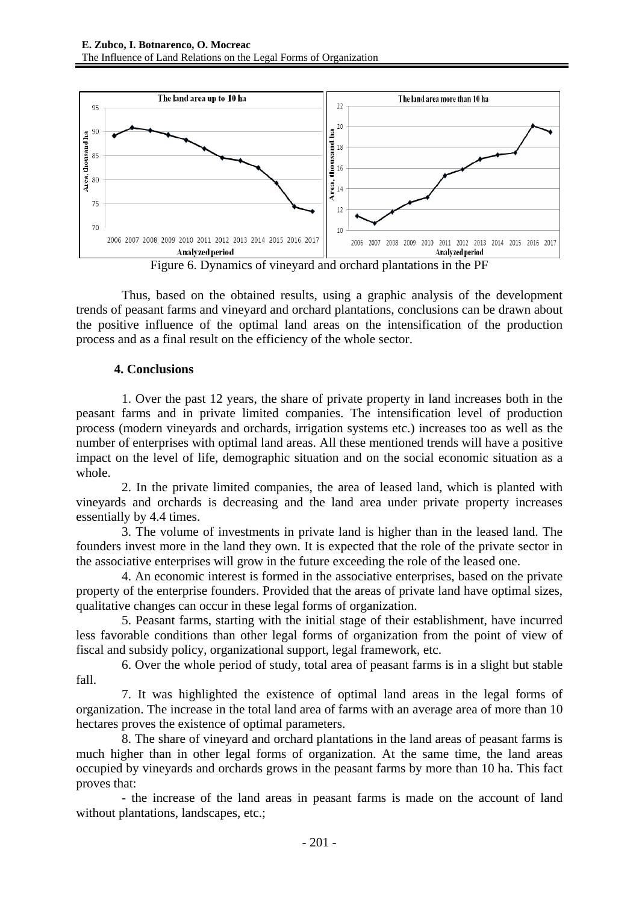



Thus, based on the obtained results, using a graphic analysis of the development trends of peasant farms and vineyard and orchard plantations, conclusions can be drawn about the positive influence of the optimal land areas on the intensification of the production process and as a final result on the efficiency of the whole sector.

# **4. Conclusions**

1. Over the past 12 years, the share of private property in land increases both in the peasant farms and in private limited companies. The intensification level of production process (modern vineyards and orchards, irrigation systems etc.) increases too as well as the number of enterprises with optimal land areas. All these mentioned trends will have a positive impact on the level of life, demographic situation and on the social economic situation as a whole.

2. In the private limited companies, the area of leased land, which is planted with vineyards and orchards is decreasing and the land area under private property increases essentially by 4.4 times.

3. The volume of investments in private land is higher than in the leased land. The founders invest more in the land they own. It is expected that the role of the private sector in the associative enterprises will grow in the future exceeding the role of the leased one.

4. An economic interest is formed in the associative enterprises, based on the private property of the enterprise founders. Provided that the areas of private land have optimal sizes, qualitative changes can occur in these legal forms of organization.

5. Peasant farms, starting with the initial stage of their establishment, have incurred less favorable conditions than other legal forms of organization from the point of view of fiscal and subsidy policy, organizational support, legal framework, etc.

6. Over the whole period of study, total area of peasant farms is in a slight but stable fall.

7. It was highlighted the existence of optimal land areas in the legal forms of organization. The increase in the total land area of farms with an average area of more than 10 hectares proves the existence of optimal parameters.

8. The share of vineyard and orchard plantations in the land areas of peasant farms is much higher than in other legal forms of organization. At the same time, the land areas occupied by vineyards and orchards grows in the peasant farms by more than 10 ha. This fact proves that:

- the increase of the land areas in peasant farms is made on the account of land without plantations, landscapes, etc.;